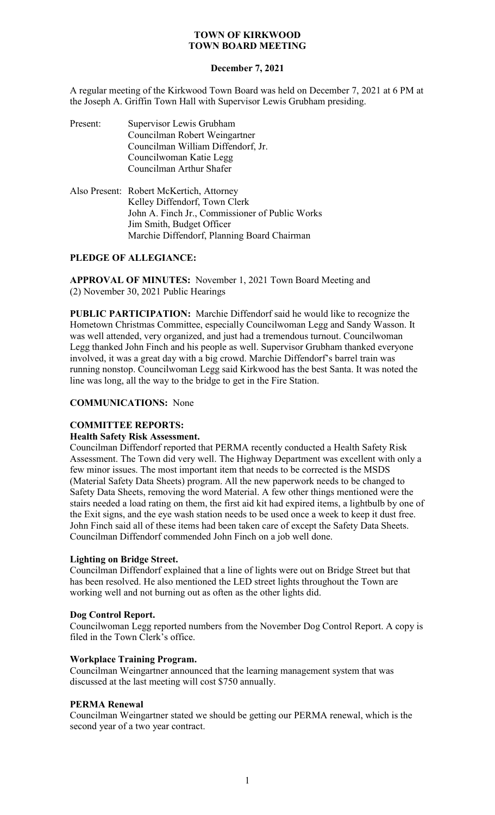# **December 7, 2021**

A regular meeting of the Kirkwood Town Board was held on December 7, 2021 at 6 PM at the Joseph A. Griffin Town Hall with Supervisor Lewis Grubham presiding.

| Present: | Supervisor Lewis Grubham<br>Councilman Robert Weingartner<br>Councilman William Diffendorf, Jr.<br>Councilwoman Katie Legg<br>Councilman Arthur Shafer                                                                                                                                                                             |
|----------|------------------------------------------------------------------------------------------------------------------------------------------------------------------------------------------------------------------------------------------------------------------------------------------------------------------------------------|
|          | $\mathbf{D}$ $\mathbf{D}$ $\mathbf{D}$ $\mathbf{A}$ $\mathbf{L}$ $\mathbf{L}$ $\mathbf{L}$ $\mathbf{L}$ $\mathbf{L}$ $\mathbf{L}$ $\mathbf{L}$ $\mathbf{L}$ $\mathbf{L}$ $\mathbf{L}$ $\mathbf{L}$ $\mathbf{L}$ $\mathbf{L}$ $\mathbf{L}$ $\mathbf{L}$ $\mathbf{L}$ $\mathbf{L}$ $\mathbf{L}$ $\mathbf{L}$ $\mathbf{L}$ $\mathbf{$ |

Also Present: Robert McKertich, Attorney Kelley Diffendorf, Town Clerk John A. Finch Jr., Commissioner of Public Works Jim Smith, Budget Officer Marchie Diffendorf, Planning Board Chairman

# **PLEDGE OF ALLEGIANCE:**

**APPROVAL OF MINUTES:** November 1, 2021 Town Board Meeting and (2) November 30, 2021 Public Hearings

**PUBLIC PARTICIPATION:** Marchie Diffendorf said he would like to recognize the Hometown Christmas Committee, especially Councilwoman Legg and Sandy Wasson. It was well attended, very organized, and just had a tremendous turnout. Councilwoman Legg thanked John Finch and his people as well. Supervisor Grubham thanked everyone involved, it was a great day with a big crowd. Marchie Diffendorf's barrel train was running nonstop. Councilwoman Legg said Kirkwood has the best Santa. It was noted the line was long, all the way to the bridge to get in the Fire Station.

## **COMMUNICATIONS:** None

# **COMMITTEE REPORTS:**

### **Health Safety Risk Assessment.**

Councilman Diffendorf reported that PERMA recently conducted a Health Safety Risk Assessment. The Town did very well. The Highway Department was excellent with only a few minor issues. The most important item that needs to be corrected is the MSDS (Material Safety Data Sheets) program. All the new paperwork needs to be changed to Safety Data Sheets, removing the word Material. A few other things mentioned were the stairs needed a load rating on them, the first aid kit had expired items, a lightbulb by one of the Exit signs, and the eye wash station needs to be used once a week to keep it dust free. John Finch said all of these items had been taken care of except the Safety Data Sheets. Councilman Diffendorf commended John Finch on a job well done.

### **Lighting on Bridge Street.**

Councilman Diffendorf explained that a line of lights were out on Bridge Street but that has been resolved. He also mentioned the LED street lights throughout the Town are working well and not burning out as often as the other lights did.

### **Dog Control Report.**

Councilwoman Legg reported numbers from the November Dog Control Report. A copy is filed in the Town Clerk's office.

### **Workplace Training Program.**

Councilman Weingartner announced that the learning management system that was discussed at the last meeting will cost \$750 annually.

## **PERMA Renewal**

Councilman Weingartner stated we should be getting our PERMA renewal, which is the second year of a two year contract.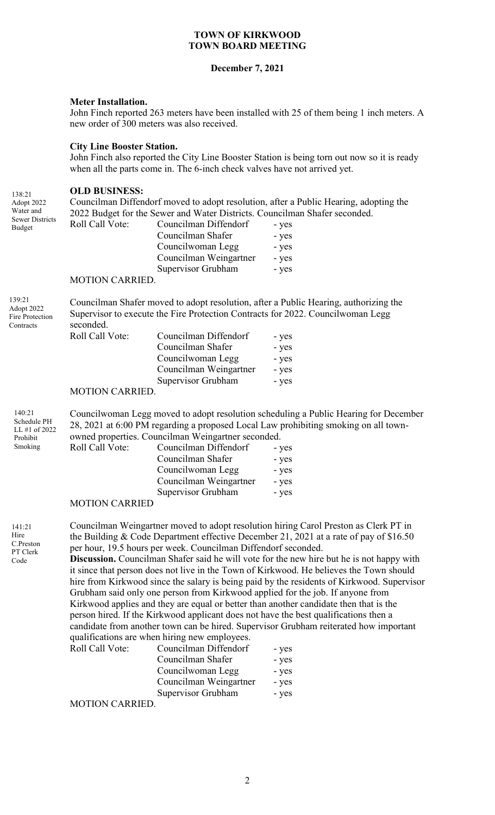### **December 7, 2021**

### **Meter Installation.**

John Finch reported 263 meters have been installed with 25 of them being 1 inch meters. A new order of 300 meters was also received.

#### **City Line Booster Station.**

John Finch also reported the City Line Booster Station is being torn out now so it is ready when all the parts come in. The 6-inch check valves have not arrived yet.

#### **OLD BUSINESS:**

Councilman Diffendorf moved to adopt resolution, after a Public Hearing, adopting the 2022 Budget for the Sewer and Water Districts. Councilman Shafer seconded.

| Roll Call Vote: | Councilman Diffendorf  | - yes |
|-----------------|------------------------|-------|
|                 | Councilman Shafer      | - yes |
|                 | Councilwoman Legg      | - yes |
|                 | Councilman Weingartner | - yes |
|                 | Supervisor Grubham     | - yes |
| MOTION CARRIED  |                        |       |

#### MOTION CARRIED.

139:21 Adopt 2022 Fire Protection Contracts

141:21 Hire C.Preston PT Clerk Code

138:21 Adopt 2022 Water and Sewer Districts Budget

> Councilman Shafer moved to adopt resolution, after a Public Hearing, authorizing the Supervisor to execute the Fire Protection Contracts for 2022. Councilwoman Legg seconded.

| Roll Call Vote: | Councilman Diffendorf  | - yes |
|-----------------|------------------------|-------|
|                 | Councilman Shafer      | - yes |
|                 | Councilwoman Legg      | - yes |
|                 | Councilman Weingartner | - yes |
|                 | Supervisor Grubham     | - yes |
|                 |                        |       |

#### MOTION CARRIED.

Councilwoman Legg moved to adopt resolution scheduling a Public Hearing for December 28, 2021 at 6:00 PM regarding a proposed Local Law prohibiting smoking on all townowned properties. Councilman Weingartner seconded. 140:21 Schedule PH LL #1 of 2022 Prohibit

| 11011101t |                        |                        |       |
|-----------|------------------------|------------------------|-------|
| Smoking   | Roll Call Vote:        | Councilman Diffendorf  | - yes |
|           |                        | Councilman Shafer      | - yes |
|           |                        | Councilwoman Legg      | - yes |
|           |                        | Councilman Weingartner | - yes |
|           |                        | Supervisor Grubham     | - yes |
|           | $M\cap TI\cap M\cap T$ |                        |       |

#### MOTION CARRIED

Councilman Weingartner moved to adopt resolution hiring Carol Preston as Clerk PT in the Building & Code Department effective December 21, 2021 at a rate of pay of \$16.50 per hour, 19.5 hours per week. Councilman Diffendorf seconded.

**Discussion.** Councilman Shafer said he will vote for the new hire but he is not happy with it since that person does not live in the Town of Kirkwood. He believes the Town should hire from Kirkwood since the salary is being paid by the residents of Kirkwood. Supervisor Grubham said only one person from Kirkwood applied for the job. If anyone from Kirkwood applies and they are equal or better than another candidate then that is the person hired. If the Kirkwood applicant does not have the best qualifications then a candidate from another town can be hired. Supervisor Grubham reiterated how important qualifications are when hiring new employees.

| Roll Call Vote: | Councilman Diffendorf  | - yes |
|-----------------|------------------------|-------|
|                 | Councilman Shafer      | - yes |
|                 | Councilwoman Legg      | - yes |
|                 | Councilman Weingartner | - yes |
|                 | Supervisor Grubham     | - yes |
| MOTION CARRIED  |                        |       |

MOTION CARRIED.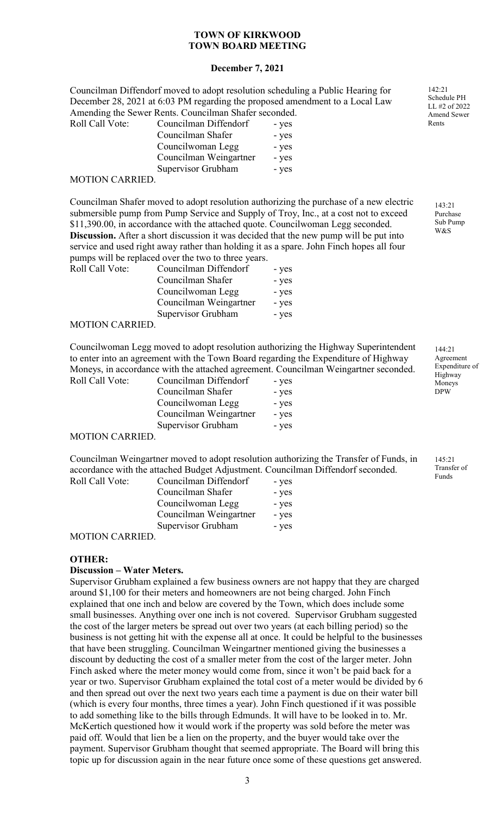## **December 7, 2021**

Councilman Diffendorf moved to adopt resolution scheduling a Public Hearing for December 28, 2021 at 6:03 PM regarding the proposed amendment to a Local Law Amending the Sewer Rents. Councilman Shafer seconded. Roll Call Vot

| Councilman Diffendorf  | - yes |
|------------------------|-------|
| Councilman Shafer      | - yes |
| Councilwoman Legg      | - yes |
| Councilman Weingartner | - yes |
| Supervisor Grubham     | - yes |
|                        |       |

#### MOTION CARRIED.

Councilman Shafer moved to adopt resolution authorizing the purchase of a new electric submersible pump from Pump Service and Supply of Troy, Inc., at a cost not to exceed \$11,390.00, in accordance with the attached quote. Councilwoman Legg seconded. **Discussion.** After a short discussion it was decided that the new pump will be put into service and used right away rather than holding it as a spare. John Finch hopes all four pumps will be replaced over the two to three years.

| Roll Call Vote: | Councilman Diffendorf  | - yes |
|-----------------|------------------------|-------|
|                 | Councilman Shafer      | - yes |
|                 | Councilwoman Legg      | - yes |
|                 | Councilman Weingartner | - yes |
|                 | Supervisor Grubham     | - yes |

### MOTION CARRIED.

Councilwoman Legg moved to adopt resolution authorizing the Highway Superintendent to enter into an agreement with the Town Board regarding the Expenditure of Highway Moneys, in accordance with the attached agreement. Councilman Weingartner seconded.

| Roll Call Vote: | Councilman Diffendorf  | - yes |
|-----------------|------------------------|-------|
|                 | Councilman Shafer      | - yes |
|                 | Councilwoman Legg      | - yes |
|                 | Councilman Weingartner | - yes |
|                 | Supervisor Grubham     | - yes |

### MOTION CARRIED.

Councilman Weingartner moved to adopt resolution authorizing the Transfer of Funds, in accordance with the attached Budget Adjustment. Councilman Diffendorf seconded. Roll Call Vote:

| Councilman Diffendorf  | - yes |
|------------------------|-------|
| Councilman Shafer      | - yes |
| Councilwoman Legg      | - yes |
| Councilman Weingartner | - yes |
| Supervisor Grubham     | - yes |
|                        |       |

#### MOTION CARRIED.

### **OTHER:**

### **Discussion – Water Meters.**

Supervisor Grubham explained a few business owners are not happy that they are charged around \$1,100 for their meters and homeowners are not being charged. John Finch explained that one inch and below are covered by the Town, which does include some small businesses. Anything over one inch is not covered. Supervisor Grubham suggested the cost of the larger meters be spread out over two years (at each billing period) so the business is not getting hit with the expense all at once. It could be helpful to the businesses that have been struggling. Councilman Weingartner mentioned giving the businesses a discount by deducting the cost of a smaller meter from the cost of the larger meter. John Finch asked where the meter money would come from, since it won't be paid back for a year or two. Supervisor Grubham explained the total cost of a meter would be divided by 6 and then spread out over the next two years each time a payment is due on their water bill (which is every four months, three times a year). John Finch questioned if it was possible to add something like to the bills through Edmunds. It will have to be looked in to. Mr. McKertich questioned how it would work if the property was sold before the meter was paid off. Would that lien be a lien on the property, and the buyer would take over the payment. Supervisor Grubham thought that seemed appropriate. The Board will bring this topic up for discussion again in the near future once some of these questions get answered.

142:21 Schedule PH LL #2 of 2022 Amend Sewer Rents

> $143.21$ Purchase Sub Pump W&S

144:21 Agreement Expenditure of Highway Moneys DPW

145:21 Transfer of Funds